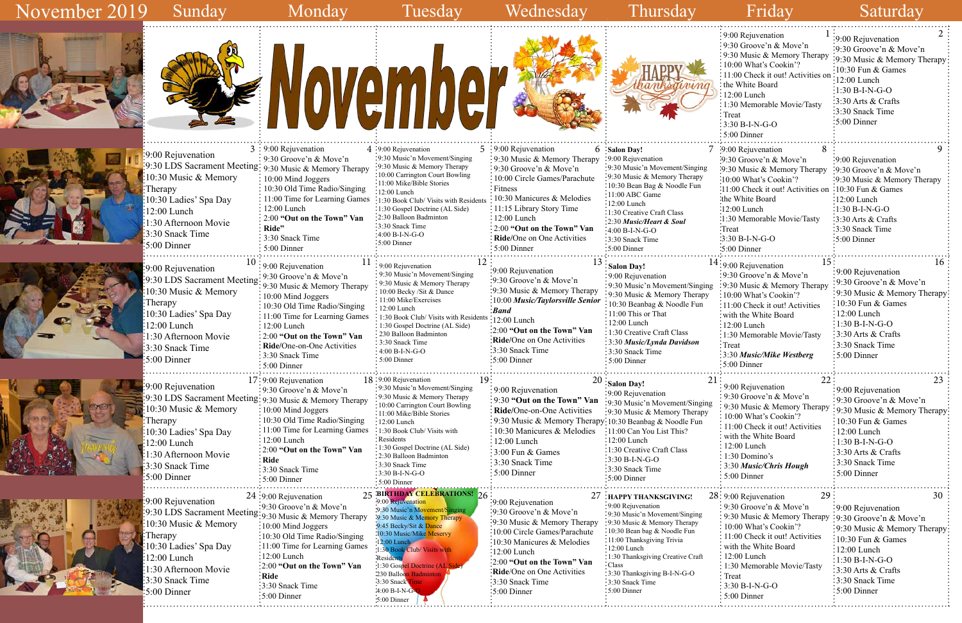|                                                                                                                                                                                                                                     | November                                                                                                                                                                                                                                                                                                                                     |                                                                                                                                                                                                                                                                                                                                                                                         |                                                                                                                                                                                                                                                                                                                                       |                                                                                                                                                                                                                                                                                                                         | $\div$ 9:00 Rejuvenation<br>: 9:30 Groove'n & Move'n<br>: 9:30 Music & Memory Therapy<br>: 10:00 What's Cookin'?<br>$\frac{1}{2}$ 11:00 Check it out! Activities on<br>: the White Board<br>$\frac{1}{2}$ 12:00 Lunch<br>: 1:30 Memorable Movie/Tasty<br>$\cdot$ Treat<br>$:3:30 B-I-N-G-O$<br>$:5:00$ Dinner                  | :9:00 Rejuvenation<br>:9:30 Groove'n & Move'n<br>:9:30 Music & Memory Therapy<br>:10:30 Fun & Games<br>12:00 Lunch<br>$:1:30 B-I-N-G-O$<br>$\frac{1}{2}$ :30 Arts & Crafts<br>3:30 Snack Time<br>:5:00 Dinner                                                                  |
|-------------------------------------------------------------------------------------------------------------------------------------------------------------------------------------------------------------------------------------|----------------------------------------------------------------------------------------------------------------------------------------------------------------------------------------------------------------------------------------------------------------------------------------------------------------------------------------------|-----------------------------------------------------------------------------------------------------------------------------------------------------------------------------------------------------------------------------------------------------------------------------------------------------------------------------------------------------------------------------------------|---------------------------------------------------------------------------------------------------------------------------------------------------------------------------------------------------------------------------------------------------------------------------------------------------------------------------------------|-------------------------------------------------------------------------------------------------------------------------------------------------------------------------------------------------------------------------------------------------------------------------------------------------------------------------|--------------------------------------------------------------------------------------------------------------------------------------------------------------------------------------------------------------------------------------------------------------------------------------------------------------------------------|--------------------------------------------------------------------------------------------------------------------------------------------------------------------------------------------------------------------------------------------------------------------------------|
| :9:00 Rejuvenation<br>9:30 LDS Sacrament Meeting: 9:30 Music & Memory Therapy<br>:10:30 Music $&$ Memory<br>Therapy<br>:10:30 Ladies' Spa Day<br>12:00 Lunch<br>1:30 Afternoon Movie<br>3:30 Snack Time<br>$\frac{1}{2}5:00$ Dinner | $3:9:00$ Rejuvenation<br>: 9:30 Groove'n & Move'n<br>: 10:00 Mind Joggers<br>$\frac{1}{2}$ 10:30 Old Time Radio/Singing<br>$\frac{1}{2}$ 11:00 Time for Learning Games<br>$12:00$ Lunch<br>$\frac{1}{2}$ 2:00 "Out on the Town" Van<br>Ride"<br>: 3:30 Snack Time<br>$: 5:00$ Dinner                                                         | $4:9:00$ Rejuvenation<br>:9:30 Music'n Movement/Singing<br>:9:30 Music & Memory Therapy<br>:10:00 Carrington Court Bowling<br>:11:00 Mike/Bible Stories<br>:12:00 Lunch<br>:1:30 Book Club/ Visits with Residents<br>:1:30 Gospel Doctrine (AL Side)<br>:2:30 Balloon Badminton<br>:3:30 Snack Time<br>$-4:00 B-I-N-G-O$<br>:5:00 Dinner                                                | $5:9:00$ Rejuvenation<br>$\frac{1}{2}$ 9:30 Music & Memory Therapy<br>: 9:30 Groove'n & Move'n<br>: 10:00 Circle Games/Parachute<br>: Fitness<br>10:30 Manicures & Melodies<br>: 11:15 Library Story Time<br>$\frac{1}{2}$ :00 Lunch<br>$\frac{1}{2}$ : 2:00 "Out on the Town" Van<br>: Ride/One on One Activities<br>$: 5:00$ Dinner | 6 Salon Day!<br>:9:00 Rejuvenation<br>:9:30 Music'n Movement/Singing<br>:9:30 Music & Memory Therapy<br>:10:30 Bean Bag & Noodle Fun<br>$\cdot$ 11:00 ABC Game<br>:12:00 Lunch<br>:1:30 Creative Craft Class<br>-2:30 Music/Heart & Soul<br>$:4:00 B-I-N-G-O$<br>$\cdot$ 3:30 Snack Time<br>$:5:00$ Dinner              | .9:00 Rejuvenation<br>$\cdot$ 9:30 Groove'n & Move'n<br>:9:30 Music & Memory Therapy<br>'10:00 What's Cookin'?<br>:11:00 Check it out! Activities on :10:30 Fun & Games<br>:the White Board<br>:12:00 Lunch<br>:1:30 Memorable Movie/Tasty<br>:Treat<br>$\frac{1}{2}$ :30 B-I-N-G-O<br>$\frac{1}{2}$ :00 Dinner                | $\frac{1}{2}9:00$ Rejuvenation<br>$\cdot$ 9:30 Groove'n & Move'n<br>:9:30 Music & Memory Therapy<br>:12:00 Lunch<br>$:1:30 B-I-N-G-O$<br>$:3:30$ Arts & Crafts<br>:3:30 Snack Time<br>$\frac{1}{2}$ 5:00 Dinner                                                                |
| :9:00 Rejuvenation<br>:9:30 LDS Sacrament Meeting<br>10:30 Music & Memory<br>Therapy<br>:10:30 Ladies' Spa Day<br>$12:00$ Lunch<br>1:30 Afternoon Movie<br>3:30 Snack Time<br>5:00 Dinner                                           | $10:9:00$ Rejuvenation<br>$\div$ 9:30 Groove'n & Move'n<br>$\frac{1}{2}$ 9:30 Music & Memory Therapy<br>10:00 Mind Joggers<br>: 10:30 Old Time Radio/Singing<br>: 11:00 Time for Learning Games<br>12:00 Lunch<br>: 2:00 "Out on the Town" Van<br>: Ride/One-on-One Activities<br>$\frac{1}{2}$ 3:30 Snack Time<br>$\frac{1}{2}$ 5:00 Dinner | $11:9:00$ Rejuvenation<br>: 9:30 Music'n Movement/Singing<br>: 9:30 Music & Memory Therapy<br>: 10:00 Becky /Sit & Dance<br>$\cdot$ 11:00 Mike/Exercises<br>$: 12:00$ Lunch<br>: 1:30 Book Club/ Visits with Residents : 12:00 Lunch<br>: 1:30 Gospel Doctrine (AL Side)<br>•230 Balloon Badminton<br>: 3:30 Snack Time<br>$:4:00 B-I-N-G-O$<br>: 5:00 Dinner                           | 13<br>:9:00 Rejuvenation<br>:9:30 Groove'n & Move'n<br>:9:30 Music & Memory Therapy<br>:10:00 Music/Taylorsville Senior<br>: Band<br>$\frac{1}{2}$ :00 "Out on the Town" Van<br>Ride/One on One Activities<br>:3:30 Snack Time<br>$\frac{1}{2}$ :00 Dinner                                                                            | Salon Day!<br>$\div$ 9:00 Rejuvenation<br>: 9:30 Music'n Movement/Singing<br>: 9:30 Music & Memory Therapy<br>: 10:30 Beanbag & Noodle Fun<br>$\div 11:00$ This or That<br>:12:00 Lunch<br>: 1:30 Creative Craft Class<br>: 3:30 Music/Lynda Davidson<br>:3:30 Snack Time<br>$:5:00$ Dinner                             | 15:<br>$14:9:00$ Rejuvenation<br>:9:30 Groove'n & Move'n<br>:9:30 Music & Memory Therapy<br>:10:00 What's Cookin'?<br>:11:00 Check it out! Activities<br>: with the White Board<br>$: 12:00$ Lunch<br>:1:30 Memorable Movie/Tasty<br>$:$ Treat<br>:3:30 Music/Mike Westberg<br>$\frac{1}{2}$ 5:00 Dinner                       | 16<br>:9:00 Rejuvenation<br>:9:30 Groove'n & Move'n<br>:9:30 Music & Memory Therapy<br>$\frac{10:30 \text{ Fun } \& \text{ Games}}{2}$<br>$\frac{12:00}{2}$ Lunch<br>$\div 1:30 B-I-N-G-O$<br>$\frac{1}{2}$ :30 Arts & Crafts<br>:3:30 Snack Time<br>$\frac{1}{2}$ 5:00 Dinner |
| :9:00 Rejuvenation<br>9:30 LDS Sacrament Meeting: 9:30 Music & Memory Therapy<br>10:30 Music & Memory<br>Therapy<br>10:30 Ladies' Spa Day<br>$12:00$ Lunch<br>1:30 Afternoon Movie<br>3:30 Snack Time<br>$\frac{1}{2}$ 5:00 Dinner  | $17:9:00$ Rejuvenation<br>$\frac{1}{2}$ 9:30 Groove'n & Move'n<br>$\frac{1}{2}10:00$ Mind Joggers<br>: 10:30 Old Time Radio/Singing<br>: 11:00 Time for Learning Games<br>$: 12:00$ Lunch<br>: 2:00 "Out on the Town" Van<br>: Ride<br>:3:30 Snack Time<br>$\frac{1}{2}$ 5:00 Dinner                                                         | 19:<br>$18:9:00$ Rejuvenation<br>:9:30 Music'n Movement/Singing<br>: 9:30 Music & Memory Therapy<br>:10:00 Carrington Court Bowling<br>$\cdot$ 11:00 Mike/Bible Stories<br>$:12:00$ Lunch<br>$\cdot$ 1:30 Book Club/Visits with<br>: Residents<br>$\cdot$ 1:30 Gospel Doctrine (AL Side)<br>:2:30 Balloon Badminton<br>$\div$ 3:30 Snack Time<br>:3:30 B-I-N-G-O<br>$\cdot$ 5:00 Dinner | : 9:00 Rejuvenation<br>:9:30 "Out on the Town" Van<br>Ride/One-on-One Activities<br>: 9:30 Music & Memory Therapy: 10:30 Beanbag & Noodle Fun<br>: 10:30 Manicures & Melodies<br>$\frac{12:00 \text{ Lunch}}{2}$<br>$\frac{1}{2}3.00$ Fun & Games<br>: 3:30 Snack Time<br>$\frac{1}{2}$ 5:00 Dinner                                   | 21:<br>$20:$ Salon Day!<br>$\cdot$ 9:00 Rejuvenation<br>:9:30 Music'n Movement/Singing<br>:9:30 Music & Memory Therapy<br>:11:00 Can You List This?<br>$:12:00$ Lunch<br>:1:30 Creative Craft Class<br>$:3:30 B-I-N-G-O$<br>:3:30 Snack Time<br>$\div 5:00$ Dinner                                                      | 22:<br>: 9:00 Rejuvenation<br>$\frac{1}{2}$ 9:30 Groove'n & Move'n<br>$\frac{1}{2}$ 9:30 Music & Memory Therapy<br>10:00 What's Cookin'?<br>: 11:00 Check it out! Activities<br>with the White Board<br>: 12:00 Lunch<br>: 1:30 Domino's<br>3:30 Music/Chris Hough<br>$: 5:00$ Dinner                                          | 23<br>:9:00 Rejuvenation<br>$\frac{1}{2}$ 9:30 Groove'n & Move'n<br>:9:30 Music & Memory Therapy<br>: $10:30$ Fun & Games<br>$: 12:00$ Lunch<br>$:1:30 B-I-N-G-O$<br>: 3:30 Arts & Crafts<br>:3:30 Snack Time<br>:5:00 Dinner                                                  |
| $: 9:00$ Rejuvenation<br>9:30 LDS Sacrament Meeting: 9:30 Music & Memory Therapy<br>10:30 Music & Memory<br>:Therapy<br>10:30 Ladies' Spa Day<br>:12:00 Lunch<br>1:30 Afternoon Movie<br>3:30 Snack Time<br>5:00 Dinner             | 24 :9:00 Rejuvenation<br>$\frac{1}{2}9:30$ Groove'n & Move'n<br>$\frac{1}{2}10:00$ Mind Joggers<br>:10:30 Old Time Radio/Singing<br>:11:00 Time for Learning Games<br>:12:00 Lunch<br>:2:00 "Out on the Town" Van<br>:Ride<br>:3:30 Snack Time<br>$\frac{1}{2}$ :00 Dinner                                                                   | <b>BIRTHDAY CELEBRATIONS!</b> 26<br>9:00 Rejuvenation<br>9:30 Music'n Movement/Singing<br>9:30 Music & Memory Therapy<br>9:45 Becky/Sit & Dance<br>10:30 Music/Mike Meservy<br>$:12:00$ Lunch<br>:1:30 Book Club/ Visits with<br>:Residents<br>:1:30 Gospel Doctrine (AL Sid<br>230 Balloon Badminton<br>3:30 Snack Time<br>4:00 B-I-N-G-<br>:5:00 Dinner                               | :9:00 Rejuvenation<br>:9:30 Groove'n & Move'n<br>:9:30 Music & Memory Therapy<br>:10:00 Circle Games/Parachute<br>:10:30 Manicures & Melodies<br>$:12:00$ Lunch<br>$\frac{1}{2}$ :00 "Out on the Town" Van<br>Ride/One on One Activities<br>3:30 Snack Time<br>:5:00 Dinner                                                           | : HAPPY THANKSGIVING!<br>÷9:00 Rejuvenation<br>:9:30 Music'n Movement/Singing<br>:9:30 Music & Memory Therapy<br>:10:30 Bean bag & Noodle Fun<br>:11:00 Thanksgiving Trivia<br>:12:00 Lunch<br>$\div 1:30$ Thanksgiving Creative Craft<br>: Class<br>:3:30 Thanksgiving B-I-N-G-O<br>:3:30 Snack Time<br>$:5:00$ Dinner | $28:9:00$ Rejuvenation<br>29<br>$\frac{1}{2}$ 9:30 Groove'n & Move'n<br>: 9:30 Music & Memory Therapy : 9:30 Groove'n & Move'n<br>10:00 What's Cookin'?<br>11:00 Check it out! Activities<br>with the White Board<br>: 12:00 Lunch<br>: 1:30 Memorable Movie/Tasty<br>: Treat<br>$3:30 B-I-N-G-O$<br>$\frac{1}{2}$ 5:00 Dinner | 30<br>:9:00 Rejuvenation<br>:9:30 Music & Memory Therapy<br>10:30 Fun & Games<br>12:00 Lunch<br>$:1:30 B-I-N-G-O$<br>:3:30 Arts & Crafts<br>:3:30 Snack Time<br>$\frac{1}{2}$ :00 Dinner                                                                                       |

|    | $\perp$<br>9:00 Rejuvenation      | 2<br>9:00 Rejuvenation                      |
|----|-----------------------------------|---------------------------------------------|
|    | 9:30 Groove'n & Move'n            | 9:30 Groove'n & Move'n                      |
|    | 9:30 Music & Memory Therapy       |                                             |
|    | 10:00 What's Cookin'?             | 9:30 Music & Memory Therapy                 |
|    | 11:00 Check it out! Activities on | 10:30 Fun & Games                           |
|    | the White Board                   | 12:00 Lunch                                 |
|    | $12:00$ Lunch                     | 1:30 B-I-N-G-O                              |
|    | 1:30 Memorable Movie/Tasty        | 3:30 Arts & Crafts                          |
|    | Treat                             | 3:30 Snack Time                             |
|    | 3:30 B-I-N-G-O                    | 5:00 Dinner                                 |
|    | $:5:00$ Dinner                    |                                             |
|    |                                   |                                             |
|    | 8<br>7 :9:00 Rejuvenation         | 9                                           |
|    | 9:30 Groove'n & Move'n            | 9:00 Rejuvenation                           |
| ξ  | 9:30 Music & Memory Therapy       | :9:30 Groove'n & Move'n                     |
|    | :10:00 What's Cookin'?            | 9:30 Music & Memory Therapy                 |
|    | 11:00 Check it out! Activities on | $10:30$ Fun & Games                         |
|    | the White Board:                  | :12:00 Lunch                                |
|    | :12:00 Lunch                      | :1:30 B-I-N-G-O                             |
|    | :1:30 Memorable Movie/Tasty       | :3:30 Arts & Crafts                         |
|    | :Treat                            | :3:30 Snack Time                            |
|    | $:3:30 B-I-N-G-O$                 | $:5:00$ Dinner                              |
|    | 5:00 Dinner                       |                                             |
|    | 15 <sup>2</sup>                   | 16                                          |
|    | 14:9:00 Rejuvenation              |                                             |
|    | :9:30 Groove'n & Move'n           | 9:00 Rejuvenation<br>9:30 Groove'n & Move'n |
| ng | :9:30 Music & Memory Therapy      |                                             |
| y  | : 10:00 What's Cookin'?           | 9:30 Music & Memory Therapy                 |
|    | 11:00 Check it out! Activities    | 10:30 Fun & Games                           |
|    | with the White Board              | 12:00 Lunch                                 |
|    | $12:00$ Lunch                     | $1:30 B-I-N-G-O$                            |
|    | 1:30 Memorable Movie/Tasty        | 3:30 Arts & Crafts                          |
|    | Treat                             | 3:30 Snack Time                             |
|    | 3:30 Music/Mike Westberg          | 5:00 Dinner                                 |
|    | 5:00 Dinner                       |                                             |
| 21 | 22                                | 23                                          |
|    | 9:00 Rejuvenation                 | 9:00 Rejuvenation                           |
|    | 9:30 Groove'n & Move'n            | 9:30 Groove'n & Move'n                      |
| ng | 9:30 Music & Memory Therapy       | 9:30 Music & Memory Therapy                 |
|    | 10:00 What's Cookin'?             | 10:30 Fun & Games                           |
|    | 11:00 Check it out! Activities    |                                             |
|    | with the White Board              | 12:00 Lunch                                 |
|    | $12:00$ Lunch                     | $1:30 B-I-N-G-O$                            |
|    | 1:30 Domino's                     | 3:30 Arts & Crafts                          |
|    | 3:30 Music/Chris Hough            | 3:30 Snack Time                             |
|    | 5:00 Dinner                       | 5:00 Dinner                                 |
|    |                                   |                                             |
|    | 29<br>28: 9:00 Rejuvenation       | 30                                          |
|    | 9:30 Groove'n & Move'n            | 9:00 Rejuvenation                           |
|    | 9:30 Music & Memory Therapy       | 9:30 Groove'n & Move'n                      |
|    | 10:00 What's Cookin'?             | 9:30 Music & Memory Therapy                 |
|    | 11:00 Check it out! Activities    | 10:30 Fun & Games                           |
|    | with the White Board              | $12:00$ Lunch                               |
|    | $12:00$ Lunch                     | $1:30 B-I-N-G-O$                            |
|    |                                   |                                             |
|    | 1:30 Memorable Movie/Tasty        |                                             |
|    | Treat                             | 3:30 Arts & Crafts                          |
|    | 3:30 B-I-N-G-O                    | 3:30 Snack Time                             |
|    | 5:00 Dinner                       | 5:00 Dinner                                 |

## November 2019

# Sunday Monday Tuesday Wednesday Thursday Friday Saturday